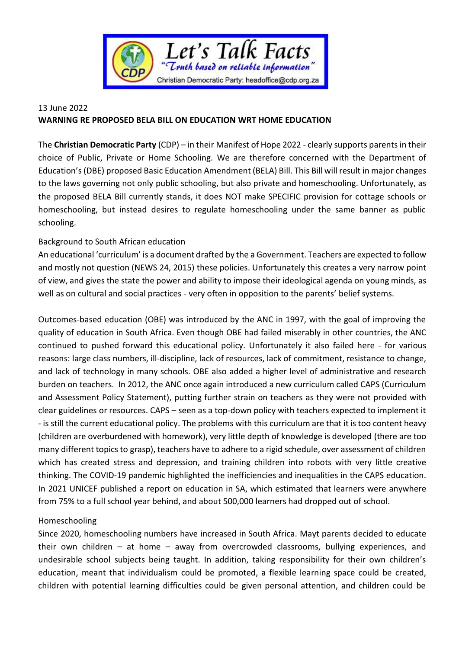

## 13 June 2022 **WARNING RE PROPOSED BELA BILL ON EDUCATION WRT HOME EDUCATION**

The **Christian Democratic Party** (CDP) – in their Manifest of Hope 2022 - clearly supports parents in their choice of Public, Private or Home Schooling. We are therefore concerned with the Department of Education's(DBE) proposed Basic Education Amendment (BELA) Bill. This Bill will result in major changes to the laws governing not only public schooling, but also private and homeschooling. Unfortunately, as the proposed BELA Bill currently stands, it does NOT make SPECIFIC provision for cottage schools or homeschooling, but instead desires to regulate homeschooling under the same banner as public schooling.

## **Background to South African education**

An educational 'curriculum' is a document drafted by the a Government. Teachers are expected to follow and mostly not question (NEWS 24, 2015) these policies. Unfortunately this creates a very narrow point of view, and gives the state the power and ability to impose their ideological agenda on young minds, as well as on cultural and social practices - very often in opposition to the parents' belief systems.

Outcomes-based education (OBE) was introduced by the ANC in 1997, with the goal of improving the quality of education in South Africa. Even though OBE had failed miserably in other countries, the ANC continued to pushed forward this educational policy. Unfortunately it also failed here - for various reasons: large class numbers, ill-discipline, lack of resources, lack of commitment, resistance to change, and lack of technology in many schools. OBE also added a higher level of administrative and research burden on teachers. In 2012, the ANC once again introduced a new curriculum called CAPS (Curriculum and Assessment Policy Statement), putting further strain on teachers as they were not provided with clear guidelines or resources. CAPS – seen as a top-down policy with teachers expected to implement it - is still the current educational policy. The problems with this curriculum are that it is too content heavy (children are overburdened with homework), very little depth of knowledge is developed (there are too many different topics to grasp), teachers have to adhere to a rigid schedule, over assessment of children which has created stress and depression, and training children into robots with very little creative thinking. The COVID-19 pandemic highlighted the inefficiencies and inequalities in the CAPS education. In 2021 UNICEF published a report on education in SA, which estimated that learners were anywhere from 75% to a full school year behind, and about 500,000 learners had dropped out of school.

## Homeschooling

Since 2020, homeschooling numbers have increased in South Africa. Mayt parents decided to educate their own children – at home – away from overcrowded classrooms, bullying experiences, and undesirable school subjects being taught. In addition, taking responsibility for their own children's education, meant that individualism could be promoted, a flexible learning space could be created, children with potential learning difficulties could be given personal attention, and children could be